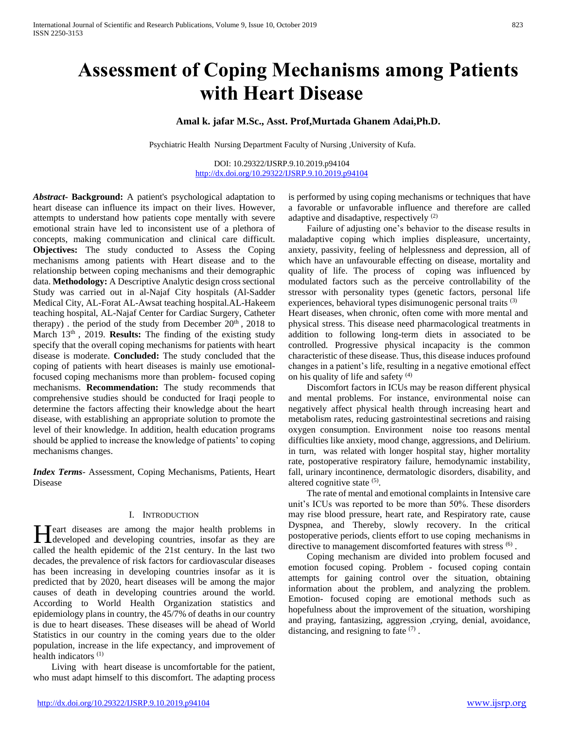# **Assessment of Coping Mechanisms among Patients with Heart Disease**

# **Amal k. jafar M.Sc., Asst. Prof,Murtada Ghanem Adai,Ph.D.**

Psychiatric Health Nursing Department Faculty of Nursing ,University of Kufa.

DOI: 10.29322/IJSRP.9.10.2019.p94104 <http://dx.doi.org/10.29322/IJSRP.9.10.2019.p94104>

*Abstract***- Background:** A patient's psychological adaptation to heart disease can influence its impact on their lives. However, attempts to understand how patients cope mentally with severe emotional strain have led to inconsistent use of a plethora of concepts, making communication and clinical care difficult. **Objectives:** The study conducted to Assess the Coping mechanisms among patients with Heart disease and to the relationship between coping mechanisms and their demographic data. **Methodology:** A Descriptive Analytic design cross sectional Study was carried out in al-Najaf City hospitals (Al-Sadder Medical City, AL-Forat AL-Awsat teaching hospital.AL-Hakeem teaching hospital, AL-Najaf Center for Cardiac Surgery, Catheter therapy) . the period of the study from December  $20<sup>th</sup>$ ,  $2018$  to March 13<sup>th</sup>, 2019. **Results:** The finding of the existing study specify that the overall coping mechanisms for patients with heart disease is moderate. **Concluded:** The study concluded that the coping of patients with heart diseases is mainly use emotionalfocused coping mechanisms more than problem- focused coping mechanisms. **Recommendation:** The study recommends that comprehensive studies should be conducted for Iraqi people to determine the factors affecting their knowledge about the heart disease, with establishing an appropriate solution to promote the level of their knowledge. In addition, health education programs should be applied to increase the knowledge of patients' to coping mechanisms changes.

*Index Terms*- Assessment, Coping Mechanisms, Patients, Heart Disease

# I. INTRODUCTION

Teart diseases are among the major health problems in Heart diseases are among the major health problems in developed and developing countries, insofar as they are called the health epidemic of the 21st century. In the last two decades, the prevalence of risk factors for cardiovascular diseases has been increasing in developing countries insofar as it is predicted that by 2020, heart diseases will be among the major causes of death in developing countries around the world. According to World Health Organization statistics and epidemiology plans in country, the 45/7% of deaths in our country is due to heart diseases. These diseases will be ahead of World Statistics in our country in the coming years due to the older population, increase in the life expectancy, and improvement of health indicators  $(1)$ 

 Living with heart disease is uncomfortable for the patient, who must adapt himself to this discomfort. The adapting process is performed by using coping mechanisms or techniques that have a favorable or unfavorable influence and therefore are called adaptive and disadaptive, respectively  $(2)$ 

 Failure of adjusting one's behavior to the disease results in maladaptive coping which implies displeasure, uncertainty, anxiety, passivity, feeling of helplessness and depression, all of which have an unfavourable effecting on disease, mortality and quality of life. The process of coping was influenced by modulated factors such as the perceive controllability of the stressor with personality types (genetic factors, personal life experiences, behavioral types disimunogenic personal traits (3) Heart diseases, when chronic, often come with more mental and physical stress. This disease need pharmacological treatments in addition to following long-term diets in associated to be controlled. Progressive physical incapacity is the common characteristic of these disease. Thus, this disease induces profound changes in a patient's life, resulting in a negative emotional effect on his quality of life and safety  $(4)$ 

 Discomfort factors in ICUs may be reason different physical and mental problems. For instance, environmental noise can negatively affect physical health through increasing heart and metabolism rates, reducing gastrointestinal secretions and raising oxygen consumption. Environment noise too reasons mental difficulties like anxiety, mood change, aggressions, and Delirium. in turn, was related with longer hospital stay, higher mortality rate, postoperative respiratory failure, hemodynamic instability, fall, urinary incontinence, dermatologic disorders, disability, and altered cognitive state <sup>(5)</sup>.

 The rate of mental and emotional complaints in Intensive care unit's ICUs was reported to be more than 50%. These disorders may rise blood pressure, heart rate, and Respiratory rate, cause Dyspnea, and Thereby, slowly recovery. In the critical postoperative periods, clients effort to use coping mechanisms in directive to management discomforted features with stress  $^{(6)}$ .

 Coping mechanism are divided into problem focused and emotion focused coping. Problem - focused coping contain attempts for gaining control over the situation, obtaining information about the problem, and analyzing the problem. Emotion- focused coping are emotional methods such as hopefulness about the improvement of the situation, worshiping and praying, fantasizing, aggression ,crying, denial, avoidance, distancing, and resigning to fate  $(7)$ .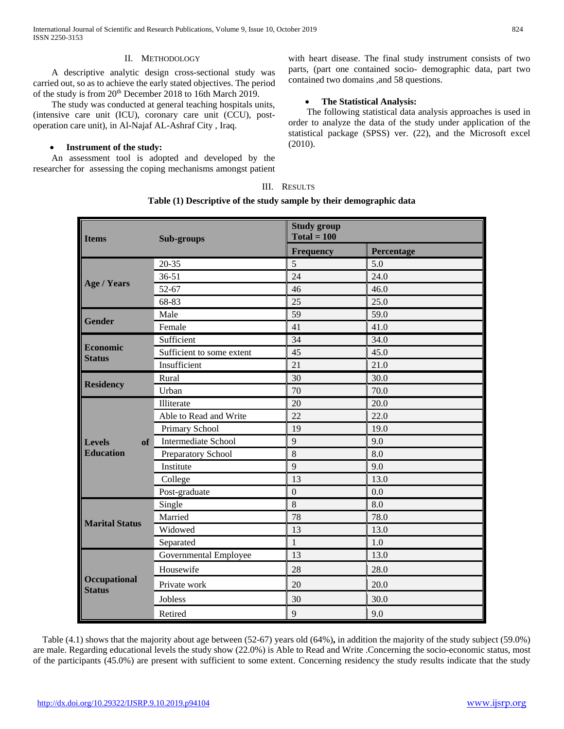International Journal of Scientific and Research Publications, Volume 9, Issue 10, October 2019 824 ISSN 2250-3153

# II. METHODOLOGY

 A descriptive analytic design cross-sectional study was carried out, so as to achieve the early stated objectives. The period of the study is from 20th December 2018 to 16th March 2019.

 The study was conducted at general teaching hospitals units, (intensive care unit (ICU), coronary care unit (CCU), postoperation care unit), in Al-Najaf AL-Ashraf City , Iraq.

# **Instrument of the study:**

 An assessment tool is adopted and developed by the researcher for assessing the coping mechanisms amongst patient with heart disease. The final study instrument consists of two parts, (part one contained socio- demographic data, part two contained two domains ,and 58 questions.

# **The Statistical Analysis:**

 The following statistical data analysis approaches is used in order to analyze the data of the study under application of the statistical package (SPSS) ver. (22), and the Microsoft excel (2010).

## III. RESULTS

#### **Table (1) Descriptive of the study sample by their demographic data**

| <b>Items</b>                            | Sub-groups                | <b>Study group</b><br>$Total = 100$ |            |
|-----------------------------------------|---------------------------|-------------------------------------|------------|
|                                         |                           | <b>Frequency</b>                    | Percentage |
| <b>Age / Years</b>                      | $20 - 35$                 | 5                                   | 5.0        |
|                                         | $36 - 51$                 | 24                                  | 24.0       |
|                                         | $52 - 67$                 | 46                                  | 46.0       |
|                                         | 68-83                     | 25                                  | 25.0       |
| <b>Gender</b>                           | Male                      | 59                                  | 59.0       |
|                                         | Female                    | 41                                  | 41.0       |
| <b>Economic</b><br><b>Status</b>        | Sufficient                | 34                                  | 34.0       |
|                                         | Sufficient to some extent | 45                                  | 45.0       |
|                                         | Insufficient              | 21                                  | 21.0       |
|                                         | Rural                     | 30                                  | 30.0       |
| <b>Residency</b>                        | Urban                     | 70                                  | 70.0       |
| <b>Levels</b><br>of<br><b>Education</b> | Illiterate                | 20                                  | 20.0       |
|                                         | Able to Read and Write    | 22                                  | 22.0       |
|                                         | Primary School            | 19                                  | 19.0       |
|                                         | Intermediate School       | 9                                   | 9.0        |
|                                         | Preparatory School        | 8                                   | 8.0        |
|                                         | Institute                 | 9                                   | 9.0        |
|                                         | College                   | 13                                  | 13.0       |
|                                         | Post-graduate             | $\mathbf{0}$                        | 0.0        |
| <b>Marital Status</b>                   | Single                    | 8                                   | 8.0        |
|                                         | Married                   | 78                                  | 78.0       |
|                                         | Widowed                   | 13                                  | 13.0       |
|                                         | Separated                 | $\mathbf{1}$                        | 1.0        |
| <b>Occupational</b><br><b>Status</b>    | Governmental Employee     | 13                                  | 13.0       |
|                                         | Housewife                 | 28                                  | 28.0       |
|                                         | Private work              | 20                                  | 20.0       |
|                                         | <b>Jobless</b>            | 30                                  | 30.0       |
|                                         | Retired                   | 9                                   | 9.0        |

 Table (4.1) shows that the majority about age between (52-67) years old (64%)**,** in addition the majority of the study subject (59.0%) are male. Regarding educational levels the study show (22.0%) is Able to Read and Write .Concerning the socio-economic status, most of the participants (45.0%) are present with sufficient to some extent. Concerning residency the study results indicate that the study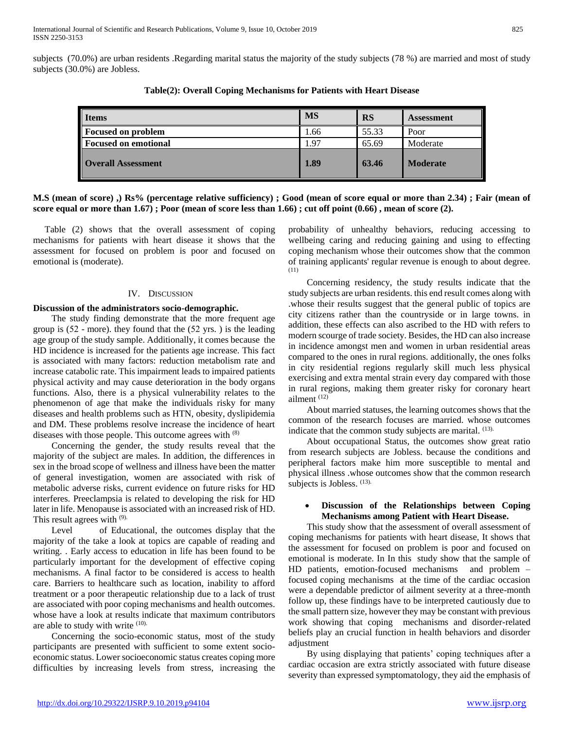subjects (70.0%) are urban residents .Regarding marital status the majority of the study subjects (78 %) are married and most of study subjects (30.0%) are Jobless.

| <b>Items</b>              | <b>MS</b> | <b>RS</b> | <b>Assessment</b> |
|---------------------------|-----------|-----------|-------------------|
| <b>Focused on problem</b> | 1.66      | 55.33     | Poor              |
| Focused on emotional      | 1.97      | 65.69     | Moderate          |
| <b>Overall Assessment</b> | 1.89      | 63.46     | <b>Moderate</b>   |

**Table(2): Overall Coping Mechanisms for Patients with Heart Disease**

# **M.S (mean of score) ,) Rs% (percentage relative sufficiency) ; Good (mean of score equal or more than 2.34) ; Fair (mean of score equal or more than 1.67) ; Poor (mean of score less than 1.66) ; cut off point (0.66) , mean of score (2).**

 Table (2) shows that the overall assessment of coping mechanisms for patients with heart disease it shows that the assessment for focused on problem is poor and focused on emotional is (moderate).

# IV. DISCUSSION

# **Discussion of the administrators socio-demographic.**

 The study finding demonstrate that the more frequent age group is (52 - more). they found that the (52 yrs. ) is the leading age group of the study sample. Additionally, it comes because the HD incidence is increased for the patients age increase. This fact is associated with many factors: reduction metabolism rate and increase catabolic rate. This impairment leads to impaired patients physical activity and may cause deterioration in the body organs functions. Also, there is a physical vulnerability relates to the phenomenon of age that make the individuals risky for many diseases and health problems such as HTN, obesity, dyslipidemia and DM. These problems resolve increase the incidence of heart diseases with those people. This outcome agrees with <sup>(8)</sup>

 Concerning the gender, the study results reveal that the majority of the subject are males. In addition, the differences in sex in the broad scope of wellness and illness have been the matter of general investigation, women are associated with risk of metabolic adverse risks, current evidence on future risks for HD interferes. Preeclampsia is related to developing the risk for HD later in life. Menopause is associated with an increased risk of HD. This result agrees with (9).

 Level of Educational, the outcomes display that the majority of the take a look at topics are capable of reading and writing. . Early access to education in life has been found to be particularly important for the development of effective coping mechanisms. A final factor to be considered is access to health care. Barriers to healthcare such as location, inability to afford treatment or a poor therapeutic relationship due to a lack of trust are associated with poor coping mechanisms and health outcomes. whose have a look at results indicate that maximum contributors are able to study with write (10).

 Concerning the socio-economic status, most of the study participants are presented with sufficient to some extent socioeconomic status. Lower socioeconomic status creates coping more difficulties by increasing levels from stress, increasing the probability of unhealthy behaviors, reducing accessing to wellbeing caring and reducing gaining and using to effecting coping mechanism whose their outcomes show that the common of training applicants' regular revenue is enough to about degree. (11)

 Concerning residency, the study results indicate that the study subjects are urban residents. this end result comes along with .whose their results suggest that the general public of topics are city citizens rather than the countryside or in large towns. in addition, these effects can also ascribed to the HD with refers to modern scourge of trade society. Besides, the HD can also increase in incidence amongst men and women in urban residential areas compared to the ones in rural regions. additionally, the ones folks in city residential regions regularly skill much less physical exercising and extra mental strain every day compared with those in rural regions, making them greater risky for coronary heart ailment (12)

 About married statuses, the learning outcomes shows that the common of the research focuses are married. whose outcomes indicate that the common study subjects are marital. (13).

 About occupational Status, the outcomes show great ratio from research subjects are Jobless. because the conditions and peripheral factors make him more susceptible to mental and physical illness .whose outcomes show that the common research subjects is Jobless.  $(13)$ .

# **Discussion of the Relationships between Coping Mechanisms among Patient with Heart Disease.**

 This study show that the assessment of overall assessment of coping mechanisms for patients with heart disease, It shows that the assessment for focused on problem is poor and focused on emotional is moderate. In In this study show that the sample of HD patients, emotion-focused mechanisms and problem – focused coping mechanisms at the time of the cardiac occasion were a dependable predictor of ailment severity at a three-month follow up, these findings have to be interpreted cautiously due to the small pattern size, however they may be constant with previous work showing that coping mechanisms and disorder-related beliefs play an crucial function in health behaviors and disorder adjustment

 By using displaying that patients' coping techniques after a cardiac occasion are extra strictly associated with future disease severity than expressed symptomatology, they aid the emphasis of